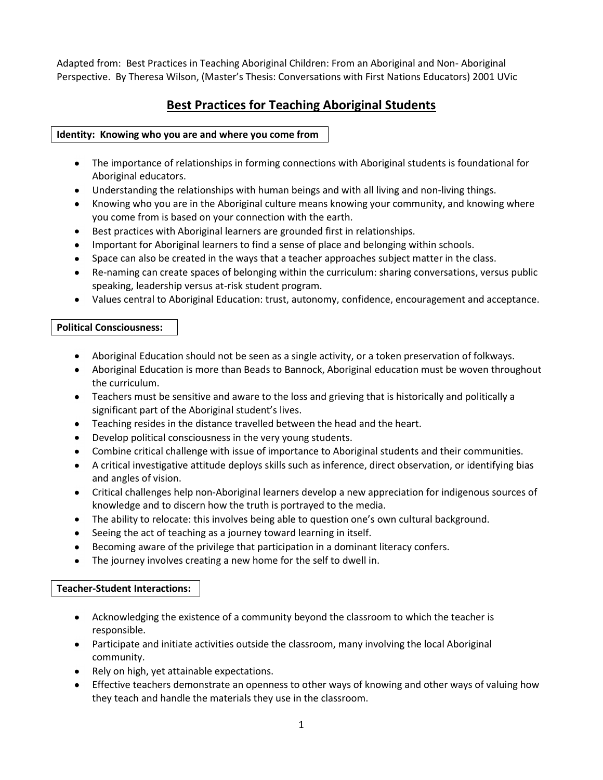Adapted from: Best Practices in Teaching Aboriginal Children: From an Aboriginal and Non- Aboriginal Perspective. By Theresa Wilson, (Master's Thesis: Conversations with First Nations Educators) 2001 UVic

# **Best Practices for Teaching Aboriginal Students**

# **Identity: Knowing who you are and where you come from**

- The importance of relationships in forming connections with Aboriginal students is foundational for Aboriginal educators.
- Understanding the relationships with human beings and with all living and non-living things.
- Knowing who you are in the Aboriginal culture means knowing your community, and knowing where you come from is based on your connection with the earth.
- Best practices with Aboriginal learners are grounded first in relationships.
- Important for Aboriginal learners to find a sense of place and belonging within schools.
- Space can also be created in the ways that a teacher approaches subject matter in the class.
- Re-naming can create spaces of belonging within the curriculum: sharing conversations, versus public speaking, leadership versus at-risk student program.
- Values central to Aboriginal Education: trust, autonomy, confidence, encouragement and acceptance.

# **Political Consciousness:**

- Aboriginal Education should not be seen as a single activity, or a token preservation of folkways.
- Aboriginal Education is more than Beads to Bannock, Aboriginal education must be woven throughout the curriculum.
- Teachers must be sensitive and aware to the loss and grieving that is historically and politically a significant part of the Aboriginal student's lives.
- Teaching resides in the distance travelled between the head and the heart.
- Develop political consciousness in the very young students.
- Combine critical challenge with issue of importance to Aboriginal students and their communities.
- A critical investigative attitude deploys skills such as inference, direct observation, or identifying bias and angles of vision.
- Critical challenges help non-Aboriginal learners develop a new appreciation for indigenous sources of knowledge and to discern how the truth is portrayed to the media.
- The ability to relocate: this involves being able to question one's own cultural background.
- Seeing the act of teaching as a journey toward learning in itself.
- Becoming aware of the privilege that participation in a dominant literacy confers.
- The journey involves creating a new home for the self to dwell in.

# **Teacher-Student Interactions:**

- Acknowledging the existence of a community beyond the classroom to which the teacher is responsible.
- Participate and initiate activities outside the classroom, many involving the local Aboriginal community.
- Rely on high, yet attainable expectations.
- Effective teachers demonstrate an openness to other ways of knowing and other ways of valuing how they teach and handle the materials they use in the classroom.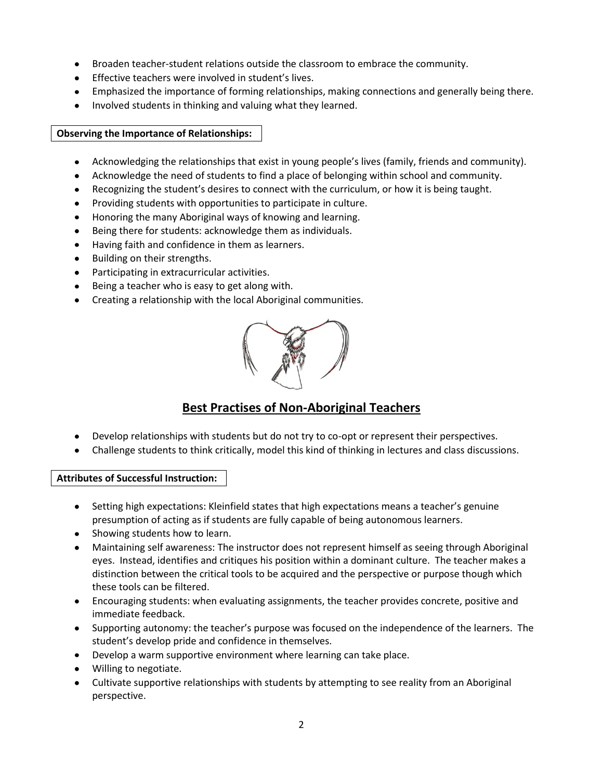- Broaden teacher-student relations outside the classroom to embrace the community.  $\bullet$
- Effective teachers were involved in student's lives.
- Emphasized the importance of forming relationships, making connections and generally being there.
- Involved students in thinking and valuing what they learned.

# **Observing the Importance of Relationships:**

- Acknowledging the relationships that exist in young people's lives (family, friends and community).
- Acknowledge the need of students to find a place of belonging within school and community.  $\bullet$
- Recognizing the student's desires to connect with the curriculum, or how it is being taught.
- Providing students with opportunities to participate in culture.
- Honoring the many Aboriginal ways of knowing and learning.
- $\bullet$ Being there for students: acknowledge them as individuals.
- Having faith and confidence in them as learners.  $\bullet$
- $\bullet$ Building on their strengths.
- Participating in extracurricular activities.
- Being a teacher who is easy to get along with.
- Creating a relationship with the local Aboriginal communities.



# **Best Practises of Non-Aboriginal Teachers**

- Develop relationships with students but do not try to co-opt or represent their perspectives.
- Challenge students to think critically, model this kind of thinking in lectures and class discussions.

## **Attributes of Successful Instruction:**

- Setting high expectations: Kleinfield states that high expectations means a teacher's genuine presumption of acting as if students are fully capable of being autonomous learners.
- Showing students how to learn.
- Maintaining self awareness: The instructor does not represent himself as seeing through Aboriginal eyes. Instead, identifies and critiques his position within a dominant culture. The teacher makes a distinction between the critical tools to be acquired and the perspective or purpose though which these tools can be filtered.
- Encouraging students: when evaluating assignments, the teacher provides concrete, positive and immediate feedback.
- Supporting autonomy: the teacher's purpose was focused on the independence of the learners. The student's develop pride and confidence in themselves.
- Develop a warm supportive environment where learning can take place.
- Willing to negotiate.
- Cultivate supportive relationships with students by attempting to see reality from an Aboriginal perspective.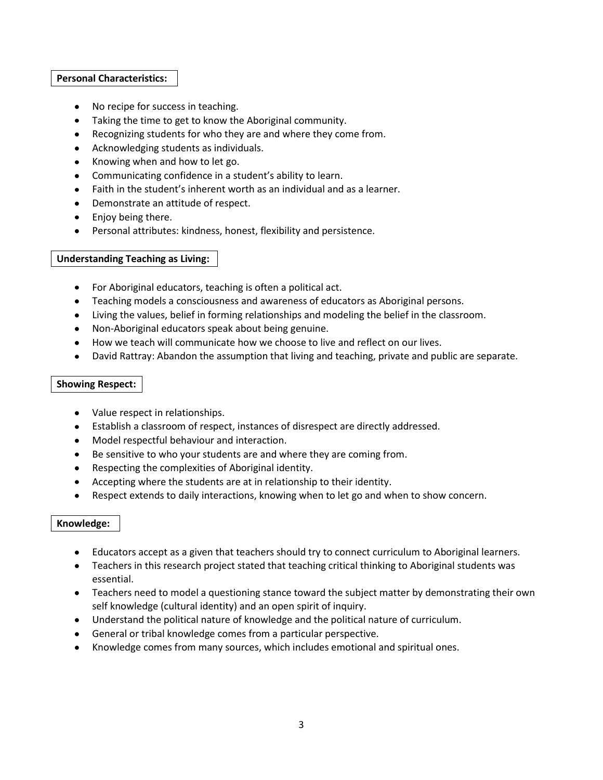#### **Personal Characteristics:**

- No recipe for success in teaching.
- Taking the time to get to know the Aboriginal community.
- Recognizing students for who they are and where they come from.
- Acknowledging students as individuals.
- Knowing when and how to let go.
- Communicating confidence in a student's ability to learn.
- Faith in the student's inherent worth as an individual and as a learner.
- Demonstrate an attitude of respect.
- Enjoy being there.
- Personal attributes: kindness, honest, flexibility and persistence.

## **Understanding Teaching as Living:**

- For Aboriginal educators, teaching is often a political act.
- Teaching models a consciousness and awareness of educators as Aboriginal persons.
- Living the values, belief in forming relationships and modeling the belief in the classroom.
- Non-Aboriginal educators speak about being genuine.
- How we teach will communicate how we choose to live and reflect on our lives.
- David Rattray: Abandon the assumption that living and teaching, private and public are separate.  $\bullet$

## **Showing Respect:**

- Value respect in relationships.
- Establish a classroom of respect, instances of disrespect are directly addressed.
- Model respectful behaviour and interaction.
- Be sensitive to who your students are and where they are coming from.
- Respecting the complexities of Aboriginal identity.
- Accepting where the students are at in relationship to their identity.
- $\bullet$ Respect extends to daily interactions, knowing when to let go and when to show concern.

## **Knowledge:**

- Educators accept as a given that teachers should try to connect curriculum to Aboriginal learners.
- Teachers in this research project stated that teaching critical thinking to Aboriginal students was essential.
- Teachers need to model a questioning stance toward the subject matter by demonstrating their own self knowledge (cultural identity) and an open spirit of inquiry.
- Understand the political nature of knowledge and the political nature of curriculum.
- General or tribal knowledge comes from a particular perspective.
- Knowledge comes from many sources, which includes emotional and spiritual ones.